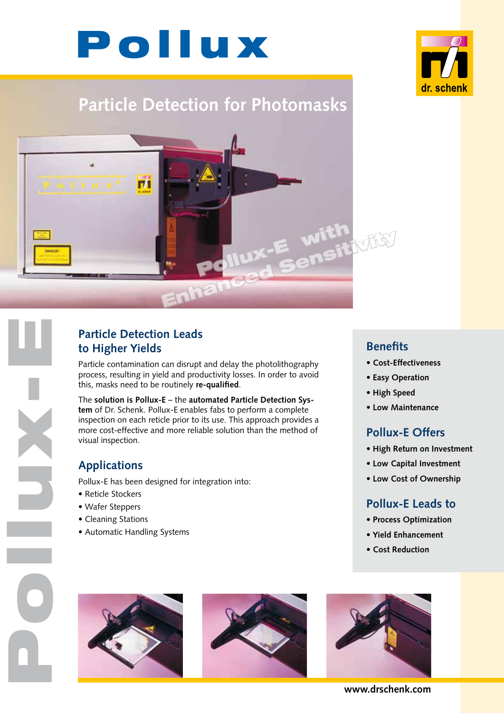



# **Particle Detection for Photomasks**



#### **Particle Detection Leads to Higher Yields**

Particle contamination can disrupt and delay the photolithography process, resulting in yield and productivity losses. In order to avoid this, masks need to be routinely **re-qualified**.

The **solution is Pollux-E** – the **automated Particle Detection System** of Dr. Schenk. Pollux-E enables fabs to perform a complete inspection on each reticle prior to its use. This approach provides a more cost-effective and more reliable solution than the method of visual inspection.

#### **Applications**

Pollux-E has been designed for integration into:

- Reticle Stockers
- Wafer Steppers

Pollucia E

- Cleaning Stations
- Automatic Handling Systems

#### **Benefits**

- **Cost-Effectiveness**
- **Easy Operation**
- **High Speed**
- **Low Maintenance**

#### **Pollux-E Offers**

- **High Return on Investment**
- **Low Capital Investment**
- **Low Cost of Ownership**

#### **Pollux-E Leads to**

- **Process Optimization**
- **Yield Enhancement**
- **Cost Reduction**







**www.drschenk.com**